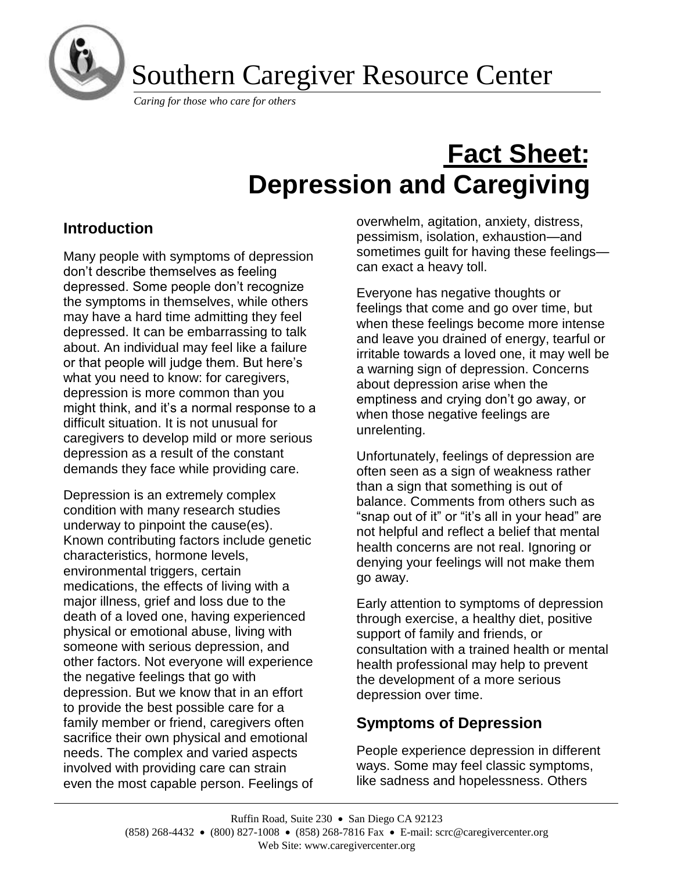

Southern Caregiver Resource Center

*Caring for those who care for others*

# **Fact Sheet: Depression and Caregiving**

# **Introduction**

Many people with symptoms of depression don't describe themselves as feeling depressed. Some people don't recognize the symptoms in themselves, while others may have a hard time admitting they feel depressed. It can be embarrassing to talk about. An individual may feel like a failure or that people will judge them. But here's what you need to know: for caregivers, depression is more common than you might think, and it's a normal response to a difficult situation. It is not unusual for caregivers to develop mild or more serious depression as a result of the constant demands they face while providing care.

Depression is an extremely complex condition with many research studies underway to pinpoint the cause(es). Known contributing factors include genetic characteristics, hormone levels, environmental triggers, certain medications, the effects of living with a major illness, grief and loss due to the death of a loved one, having experienced physical or emotional abuse, living with someone with serious depression, and other factors. Not everyone will experience the negative feelings that go with depression. But we know that in an effort to provide the best possible care for a family member or friend, caregivers often sacrifice their own physical and emotional needs. The complex and varied aspects involved with providing care can strain even the most capable person. Feelings of overwhelm, agitation, anxiety, distress, pessimism, isolation, exhaustion—and sometimes guilt for having these feelings can exact a heavy toll.

Everyone has negative thoughts or feelings that come and go over time, but when these feelings become more intense and leave you drained of energy, tearful or irritable towards a loved one, it may well be a warning sign of depression. Concerns about depression arise when the emptiness and crying don't go away, or when those negative feelings are unrelenting.

Unfortunately, feelings of depression are often seen as a sign of weakness rather than a sign that something is out of balance. Comments from others such as "snap out of it" or "it's all in your head" are not helpful and reflect a belief that mental health concerns are not real. Ignoring or denying your feelings will not make them go away.

Early attention to symptoms of depression through exercise, a healthy diet, positive support of family and friends, or consultation with a trained health or mental health professional may help to prevent the development of a more serious depression over time.

# **Symptoms of Depression**

People experience depression in different ways. Some may feel classic symptoms, like sadness and hopelessness. Others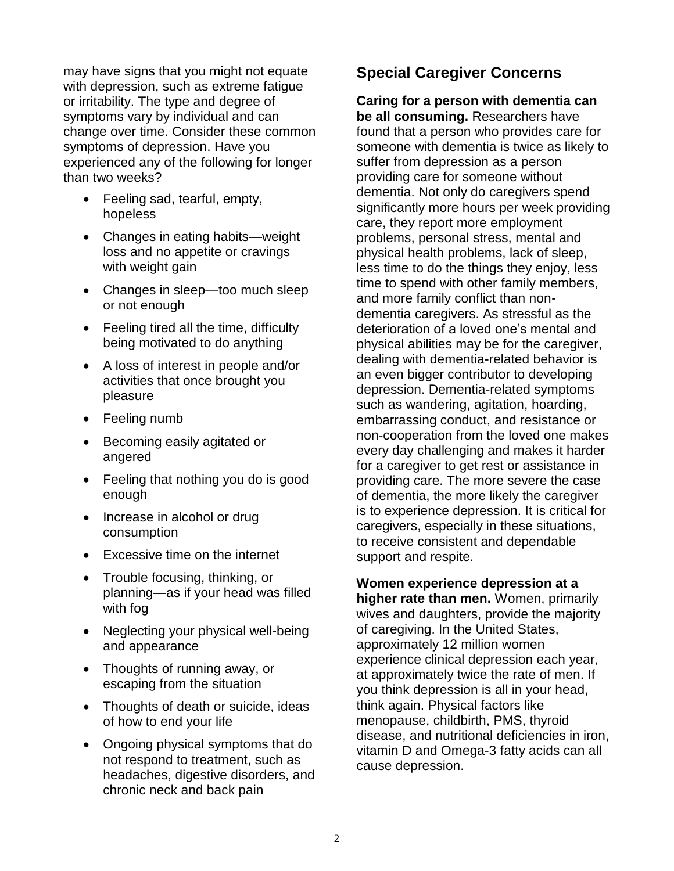may have signs that you might not equate with depression, such as extreme fatigue or irritability. The type and degree of symptoms vary by individual and can change over time. Consider these common symptoms of depression. Have you experienced any of the following for longer than two weeks?

- Feeling sad, tearful, empty, hopeless
- Changes in eating habits—weight loss and no appetite or cravings with weight gain
- Changes in sleep—too much sleep or not enough
- Feeling tired all the time, difficulty being motivated to do anything
- A loss of interest in people and/or activities that once brought you pleasure
- Feeling numb
- Becoming easily agitated or angered
- Feeling that nothing you do is good enough
- Increase in alcohol or drug consumption
- Excessive time on the internet
- Trouble focusing, thinking, or planning—as if your head was filled with fog
- Neglecting your physical well-being and appearance
- Thoughts of running away, or escaping from the situation
- Thoughts of death or suicide, ideas of how to end your life
- Ongoing physical symptoms that do not respond to treatment, such as headaches, digestive disorders, and chronic neck and back pain

# **Special Caregiver Concerns**

**Caring for a person with dementia can be all consuming.** Researchers have found that a person who provides care for someone with dementia is twice as likely to suffer from depression as a person providing care for someone without dementia. Not only do caregivers spend significantly more hours per week providing care, they report more employment problems, personal stress, mental and physical health problems, lack of sleep, less time to do the things they enjoy, less time to spend with other family members, and more family conflict than nondementia caregivers. As stressful as the deterioration of a loved one's mental and physical abilities may be for the caregiver, dealing with dementia-related behavior is an even bigger contributor to developing depression. Dementia-related symptoms such as wandering, agitation, hoarding, embarrassing conduct, and resistance or non-cooperation from the loved one makes every day challenging and makes it harder for a caregiver to get rest or assistance in providing care. The more severe the case of dementia, the more likely the caregiver is to experience depression. It is critical for caregivers, especially in these situations, to receive consistent and dependable support and respite.

**Women experience depression at a higher rate than men.** Women, primarily wives and daughters, provide the majority of caregiving. In the United States, approximately 12 million women experience clinical depression each year, at approximately twice the rate of men. If you think depression is all in your head, think again. Physical factors like menopause, childbirth, PMS, thyroid disease, and nutritional deficiencies in iron, vitamin D and Omega-3 fatty acids can all cause depression.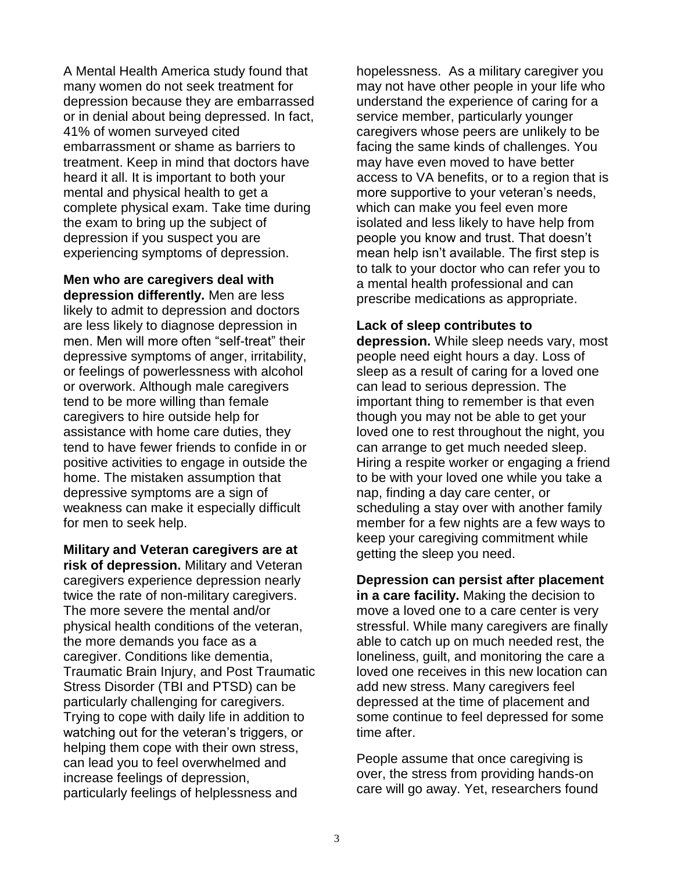A Mental Health America study found that many women do not seek treatment for depression because they are embarrassed or in denial about being depressed. In fact, 41% of women surveyed cited embarrassment or shame as barriers to treatment. Keep in mind that doctors have heard it all. It is important to both your mental and physical health to get a complete physical exam. Take time during the exam to bring up the subject of depression if you suspect you are experiencing symptoms of depression.

**Men who are caregivers deal with depression differently.** Men are less likely to admit to depression and doctors are less likely to diagnose depression in men. Men will more often "self-treat" their depressive symptoms of anger, irritability, or feelings of powerlessness with alcohol or overwork. Although male caregivers tend to be more willing than female caregivers to hire outside help for assistance with home care duties, they tend to have fewer friends to confide in or positive activities to engage in outside the home. The mistaken assumption that depressive symptoms are a sign of weakness can make it especially difficult for men to seek help.

**Military and Veteran caregivers are at risk of depression.** Military and Veteran caregivers experience depression nearly twice the rate of non-military caregivers. The more severe the mental and/or physical health conditions of the veteran, the more demands you face as a caregiver. Conditions like dementia, Traumatic Brain Injury, and Post Traumatic Stress Disorder (TBI and PTSD) can be particularly challenging for caregivers. Trying to cope with daily life in addition to watching out for the veteran's triggers, or helping them cope with their own stress, can lead you to feel overwhelmed and increase feelings of depression, particularly feelings of helplessness and

hopelessness. As a military caregiver you may not have other people in your life who understand the experience of caring for a service member, particularly younger caregivers whose peers are unlikely to be facing the same kinds of challenges. You may have even moved to have better access to VA benefits, or to a region that is more supportive to your veteran's needs, which can make you feel even more isolated and less likely to have help from people you know and trust. That doesn't mean help isn't available. The first step is to talk to your doctor who can refer you to a mental health professional and can prescribe medications as appropriate.

#### **Lack of sleep contributes to**

**depression.** While sleep needs vary, most people need eight hours a day. Loss of sleep as a result of caring for a loved one can lead to serious depression. The important thing to remember is that even though you may not be able to get your loved one to rest throughout the night, you can arrange to get much needed sleep. Hiring a respite worker or engaging a friend to be with your loved one while you take a nap, finding a day care center, or scheduling a stay over with another family member for a few nights are a few ways to keep your caregiving commitment while getting the sleep you need.

**Depression can persist after placement in a care facility.** Making the decision to move a loved one to a care center is very stressful. While many caregivers are finally able to catch up on much needed rest, the loneliness, guilt, and monitoring the care a loved one receives in this new location can add new stress. Many caregivers feel depressed at the time of placement and some continue to feel depressed for some time after.

People assume that once caregiving is over, the stress from providing hands-on care will go away. Yet, researchers found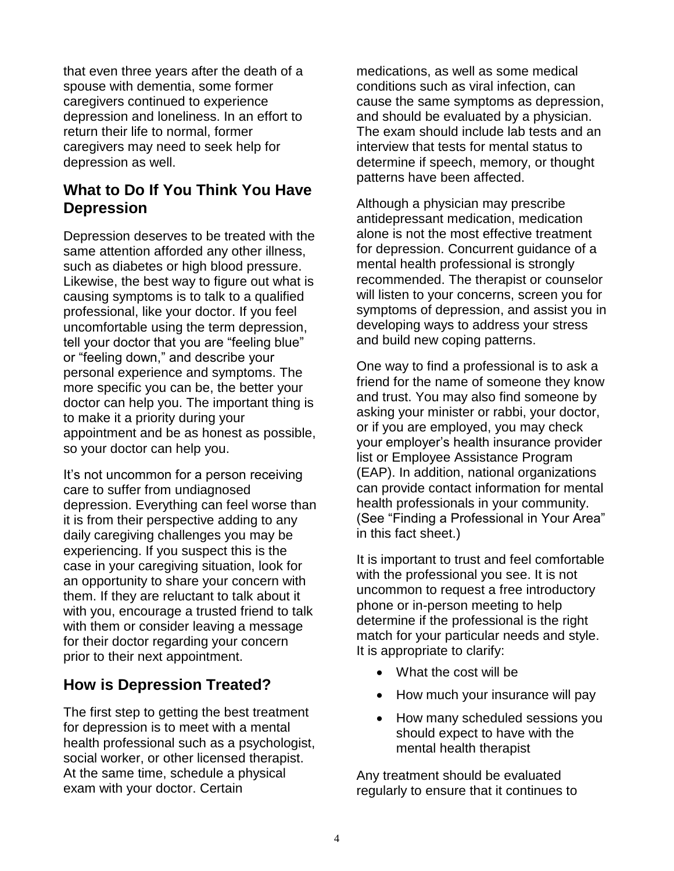that even three years after the death of a spouse with dementia, some former caregivers continued to experience depression and loneliness. In an effort to return their life to normal, former caregivers may need to seek help for depression as well.

# **What to Do If You Think You Have Depression**

Depression deserves to be treated with the same attention afforded any other illness, such as diabetes or high blood pressure. Likewise, the best way to figure out what is causing symptoms is to talk to a qualified professional, like your doctor. If you feel uncomfortable using the term depression, tell your doctor that you are "feeling blue" or "feeling down," and describe your personal experience and symptoms. The more specific you can be, the better your doctor can help you. The important thing is to make it a priority during your appointment and be as honest as possible, so your doctor can help you.

It's not uncommon for a person receiving care to suffer from undiagnosed depression. Everything can feel worse than it is from their perspective adding to any daily caregiving challenges you may be experiencing. If you suspect this is the case in your caregiving situation, look for an opportunity to share your concern with them. If they are reluctant to talk about it with you, encourage a trusted friend to talk with them or consider leaving a message for their doctor regarding your concern prior to their next appointment.

# **How is Depression Treated?**

The first step to getting the best treatment for depression is to meet with a mental health professional such as a psychologist, social worker, or other licensed therapist. At the same time, schedule a physical exam with your doctor. Certain

medications, as well as some medical conditions such as viral infection, can cause the same symptoms as depression, and should be evaluated by a physician. The exam should include lab tests and an interview that tests for mental status to determine if speech, memory, or thought patterns have been affected.

Although a physician may prescribe antidepressant medication, medication alone is not the most effective treatment for depression. Concurrent guidance of a mental health professional is strongly recommended. The therapist or counselor will listen to your concerns, screen you for symptoms of depression, and assist you in developing ways to address your stress and build new coping patterns.

One way to find a professional is to ask a friend for the name of someone they know and trust. You may also find someone by asking your minister or rabbi, your doctor, or if you are employed, you may check your employer's health insurance provider list or Employee Assistance Program (EAP). In addition, national organizations can provide contact information for mental health professionals in your community. (See "Finding a Professional in Your Area" in this fact sheet.)

It is important to trust and feel comfortable with the professional you see. It is not uncommon to request a free introductory phone or in-person meeting to help determine if the professional is the right match for your particular needs and style. It is appropriate to clarify:

- What the cost will be
- How much your insurance will pay
- How many scheduled sessions you should expect to have with the mental health therapist

Any treatment should be evaluated regularly to ensure that it continues to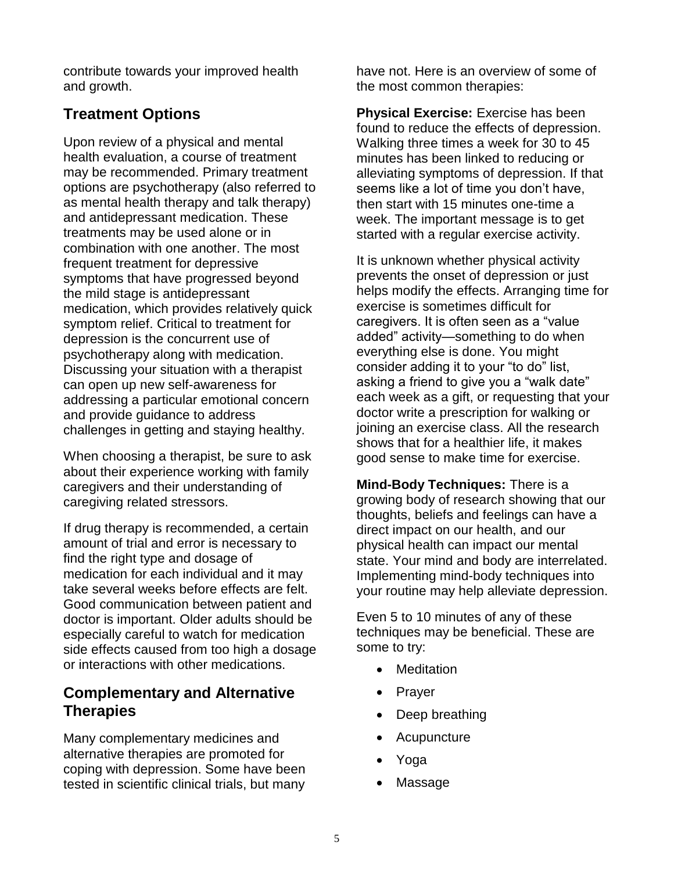contribute towards your improved health and growth.

# **Treatment Options**

Upon review of a physical and mental health evaluation, a course of treatment may be recommended. Primary treatment options are psychotherapy (also referred to as mental health therapy and talk therapy) and antidepressant medication. These treatments may be used alone or in combination with one another. The most frequent treatment for depressive symptoms that have progressed beyond the mild stage is antidepressant medication, which provides relatively quick symptom relief. Critical to treatment for depression is the concurrent use of psychotherapy along with medication. Discussing your situation with a therapist can open up new self-awareness for addressing a particular emotional concern and provide guidance to address challenges in getting and staying healthy.

When choosing a therapist, be sure to ask about their experience working with family caregivers and their understanding of caregiving related stressors.

If drug therapy is recommended, a certain amount of trial and error is necessary to find the right type and dosage of medication for each individual and it may take several weeks before effects are felt. Good communication between patient and doctor is important. Older adults should be especially careful to watch for medication side effects caused from too high a dosage or interactions with other medications.

# **Complementary and Alternative Therapies**

Many complementary medicines and alternative therapies are promoted for coping with depression. Some have been tested in scientific clinical trials, but many

have not. Here is an overview of some of the most common therapies:

**Physical Exercise:** Exercise has been found to reduce the effects of depression. Walking three times a week for 30 to 45 minutes has been linked to reducing or alleviating symptoms of depression. If that seems like a lot of time you don't have, then start with 15 minutes one-time a week. The important message is to get started with a regular exercise activity.

It is unknown whether physical activity prevents the onset of depression or just helps modify the effects. Arranging time for exercise is sometimes difficult for caregivers. It is often seen as a "value added" activity—something to do when everything else is done. You might consider adding it to your "to do" list, asking a friend to give you a "walk date" each week as a gift, or requesting that your doctor write a prescription for walking or joining an exercise class. All the research shows that for a healthier life, it makes good sense to make time for exercise.

**Mind-Body Techniques:** There is a growing body of research showing that our thoughts, beliefs and feelings can have a direct impact on our health, and our physical health can impact our mental state. Your mind and body are interrelated. Implementing mind-body techniques into your routine may help alleviate depression.

Even 5 to 10 minutes of any of these techniques may be beneficial. These are some to try:

- Meditation
- Prayer
- Deep breathing
- **Acupuncture**
- Yoga
- **Massage**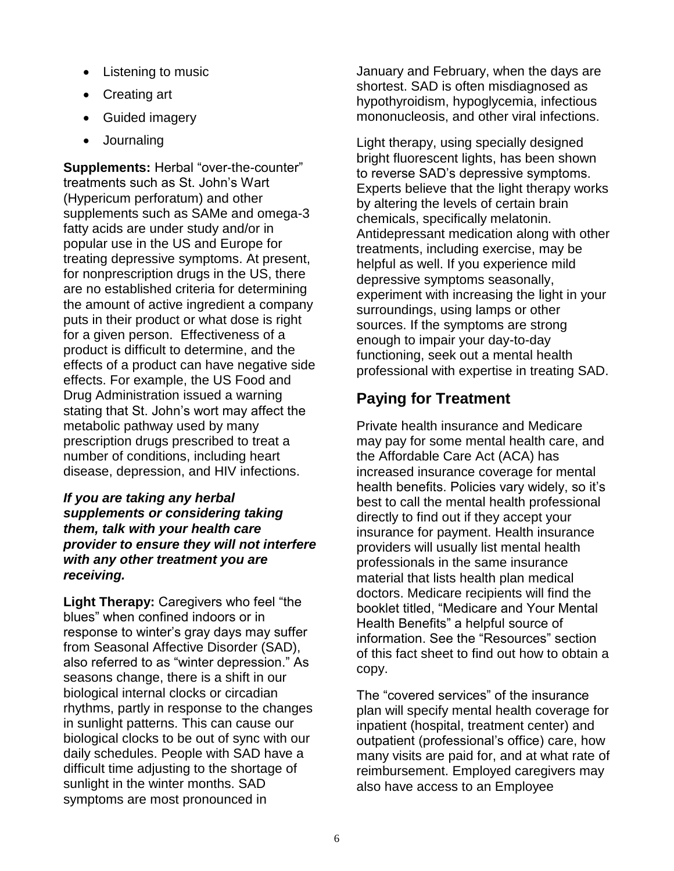- Listening to music
- Creating art
- Guided imagery
- Journaling

**Supplements:** Herbal "over-the-counter" treatments such as St. John's Wart (Hypericum perforatum) and other supplements such as SAMe and omega-3 fatty acids are under study and/or in popular use in the US and Europe for treating depressive symptoms. At present, for nonprescription drugs in the US, there are no established criteria for determining the amount of active ingredient a company puts in their product or what dose is right for a given person. Effectiveness of a product is difficult to determine, and the effects of a product can have negative side effects. For example, the US Food and Drug Administration issued a warning stating that St. John's wort may affect the metabolic pathway used by many prescription drugs prescribed to treat a number of conditions, including heart disease, depression, and HIV infections.

### *If you are taking any herbal supplements or considering taking them, talk with your health care provider to ensure they will not interfere with any other treatment you are receiving.*

**Light Therapy:** Caregivers who feel "the blues" when confined indoors or in response to winter's gray days may suffer from Seasonal Affective Disorder (SAD), also referred to as "winter depression." As seasons change, there is a shift in our biological internal clocks or circadian rhythms, partly in response to the changes in sunlight patterns. This can cause our biological clocks to be out of sync with our daily schedules. People with SAD have a difficult time adjusting to the shortage of sunlight in the winter months. SAD symptoms are most pronounced in

January and February, when the days are shortest. SAD is often misdiagnosed as hypothyroidism, hypoglycemia, infectious mononucleosis, and other viral infections.

Light therapy, using specially designed bright fluorescent lights, has been shown to reverse SAD's depressive symptoms. Experts believe that the light therapy works by altering the levels of certain brain chemicals, specifically melatonin. Antidepressant medication along with other treatments, including exercise, may be helpful as well. If you experience mild depressive symptoms seasonally, experiment with increasing the light in your surroundings, using lamps or other sources. If the symptoms are strong enough to impair your day-to-day functioning, seek out a mental health professional with expertise in treating SAD.

# **Paying for Treatment**

Private health insurance and Medicare may pay for some mental health care, and the Affordable Care Act (ACA) has increased insurance coverage for mental health benefits. Policies vary widely, so it's best to call the mental health professional directly to find out if they accept your insurance for payment. Health insurance providers will usually list mental health professionals in the same insurance material that lists health plan medical doctors. Medicare recipients will find the booklet titled, "Medicare and Your Mental Health Benefits" a helpful source of information. See the "Resources" section of this fact sheet to find out how to obtain a copy.

The "covered services" of the insurance plan will specify mental health coverage for inpatient (hospital, treatment center) and outpatient (professional's office) care, how many visits are paid for, and at what rate of reimbursement. Employed caregivers may also have access to an Employee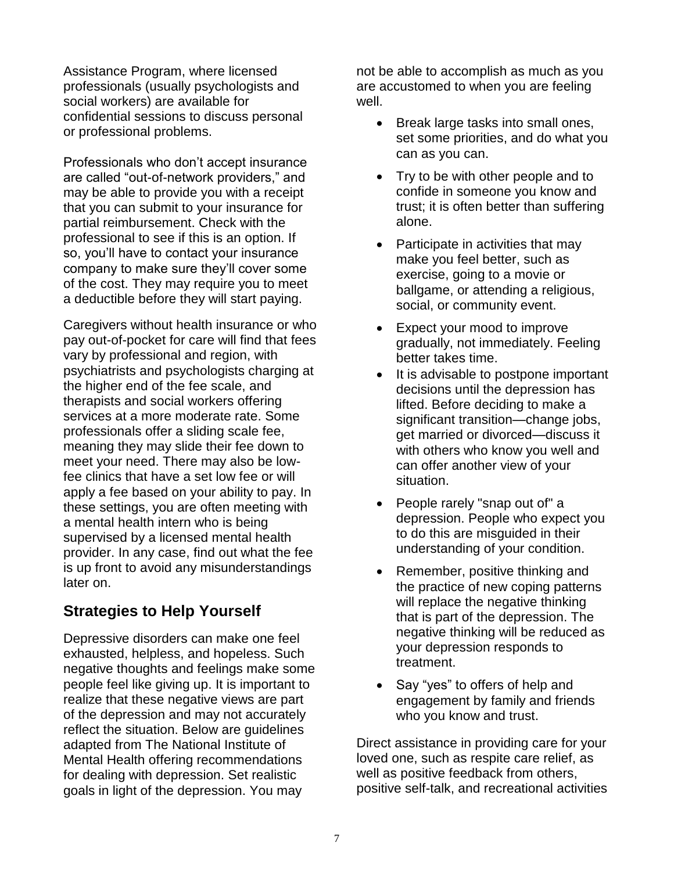Assistance Program, where licensed professionals (usually psychologists and social workers) are available for confidential sessions to discuss personal or professional problems.

Professionals who don't accept insurance are called "out-of-network providers," and may be able to provide you with a receipt that you can submit to your insurance for partial reimbursement. Check with the professional to see if this is an option. If so, you'll have to contact your insurance company to make sure they'll cover some of the cost. They may require you to meet a deductible before they will start paying.

Caregivers without health insurance or who pay out-of-pocket for care will find that fees vary by professional and region, with psychiatrists and psychologists charging at the higher end of the fee scale, and therapists and social workers offering services at a more moderate rate. Some professionals offer a sliding scale fee, meaning they may slide their fee down to meet your need. There may also be lowfee clinics that have a set low fee or will apply a fee based on your ability to pay. In these settings, you are often meeting with a mental health intern who is being supervised by a licensed mental health provider. In any case, find out what the fee is up front to avoid any misunderstandings later on.

# **Strategies to Help Yourself**

Depressive disorders can make one feel exhausted, helpless, and hopeless. Such negative thoughts and feelings make some people feel like giving up. It is important to realize that these negative views are part of the depression and may not accurately reflect the situation. Below are guidelines adapted from The National Institute of Mental Health offering recommendations for dealing with depression. Set realistic goals in light of the depression. You may

not be able to accomplish as much as you are accustomed to when you are feeling well.

- Break large tasks into small ones, set some priorities, and do what you can as you can.
- Try to be with other people and to confide in someone you know and trust; it is often better than suffering alone.
- Participate in activities that may make you feel better, such as exercise, going to a movie or ballgame, or attending a religious, social, or community event.
- Expect your mood to improve gradually, not immediately. Feeling better takes time.
- It is advisable to postpone important decisions until the depression has lifted. Before deciding to make a significant transition—change jobs, get married or divorced—discuss it with others who know you well and can offer another view of your situation.
- People rarely "snap out of" a depression. People who expect you to do this are misguided in their understanding of your condition.
- Remember, positive thinking and the practice of new coping patterns will replace the negative thinking that is part of the depression. The negative thinking will be reduced as your depression responds to treatment.
- Say "yes" to offers of help and engagement by family and friends who you know and trust.

Direct assistance in providing care for your loved one, such as respite care relief, as well as positive feedback from others, positive self-talk, and recreational activities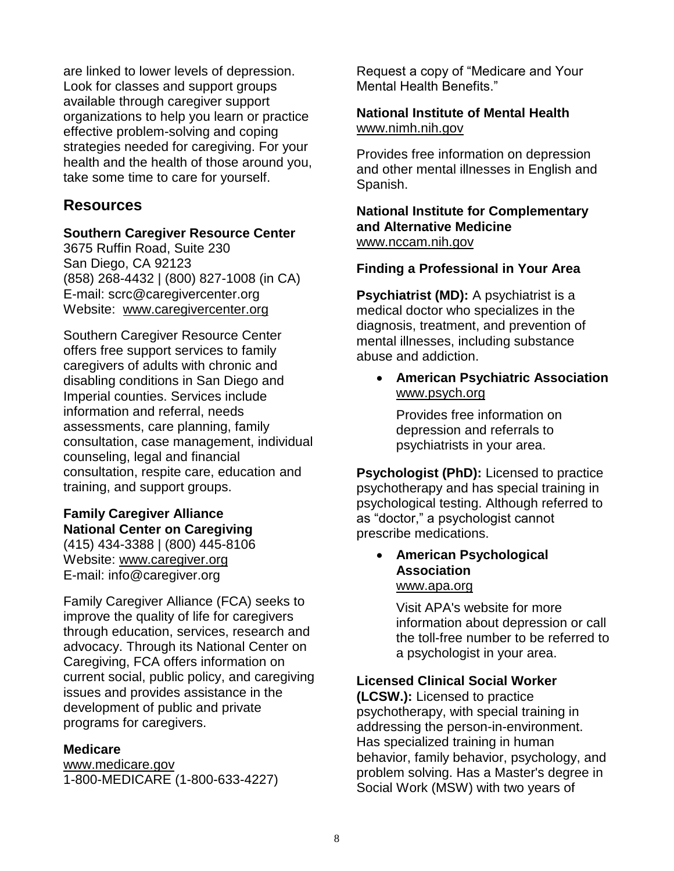are linked to lower levels of depression. Look for classes and support groups available through caregiver support organizations to help you learn or practice effective problem-solving and coping strategies needed for caregiving. For your health and the health of those around you, take some time to care for yourself.

## **Resources**

### **Southern Caregiver Resource Center**

3675 Ruffin Road, Suite 230 San Diego, CA 92123 (858) 268-4432 | (800) 827-1008 (in CA) E-mail: [scrc@caregivercenter.org](mailto:scrc@caregivercenter.org) Website: [www.caregivercenter.org](http://www.caregivercenter.org/)

Southern Caregiver Resource Center offers free support services to family caregivers of adults with chronic and disabling conditions in San Diego and Imperial counties. Services include information and referral, needs assessments, care planning, family consultation, case management, individual counseling, legal and financial consultation, respite care, education and training, and support groups.

## **Family Caregiver Alliance National Center on Caregiving**

(415) 434-3388 | (800) 445-8106 Website: [www.caregiver.org](http://www.caregiver.org/) E-mail: [info@caregiver.org](mailto:info@caregiver.org)

Family Caregiver Alliance (FCA) seeks to improve the quality of life for caregivers through education, services, research and advocacy. Through its National Center on Caregiving, FCA offers information on current social, public policy, and caregiving issues and provides assistance in the development of public and private programs for caregivers.

### **Medicare**

[www.medicare.gov](http://www.medicare.gov/) 1-800-MEDICARE (1-800-633-4227) Request a copy of "Medicare and Your Mental Health Benefits."

### **National Institute of Mental Health** [www.nimh.nih.gov](http://www.nimh.nih.gov/)

Provides free information on depression and other mental illnesses in English and Spanish.

**National Institute for Complementary and Alternative Medicine** [www.nccam.nih.gov](http://www.nccam.nih.gov/)

### **Finding a Professional in Your Area**

**Psychiatrist (MD):** A psychiatrist is a medical doctor who specializes in the diagnosis, treatment, and prevention of mental illnesses, including substance abuse and addiction.

• **American Psychiatric Association** [www.psych.org](http://www.psych.org/)

Provides free information on depression and referrals to psychiatrists in your area.

**Psychologist (PhD):** Licensed to practice psychotherapy and has special training in psychological testing. Although referred to as "doctor," a psychologist cannot prescribe medications.

• **American Psychological Association** [www.apa.org](http://www.apa.org/)

> Visit APA's website for more information about depression or call the toll-free number to be referred to a psychologist in your area.

### **Licensed Clinical Social Worker**

**(LCSW.):** Licensed to practice psychotherapy, with special training in addressing the person-in-environment. Has specialized training in human behavior, family behavior, psychology, and problem solving. Has a Master's degree in Social Work (MSW) with two years of